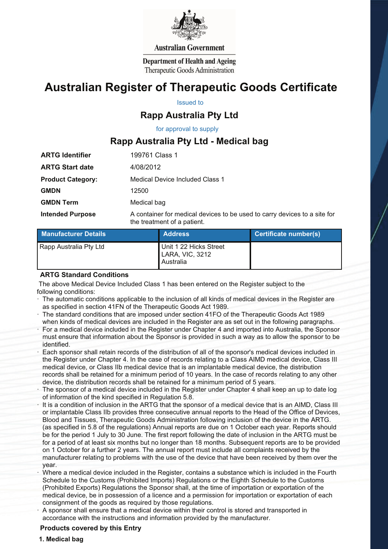

#### **Australian Government**

**Department of Health and Ageing** Therapeutic Goods Administration

# **Australian Register of Therapeutic Goods Certificate**

Issued to

# **Rapp Australia Pty Ltd**

for approval to supply

## **Rapp Australia Pty Ltd - Medical bag**

| <b>ARTG Identifier</b>   | 199761 Class 1                                                                                           |  |
|--------------------------|----------------------------------------------------------------------------------------------------------|--|
| <b>ARTG Start date</b>   | 4/08/2012                                                                                                |  |
| <b>Product Category:</b> | Medical Device Included Class 1                                                                          |  |
| <b>GMDN</b>              | 12500                                                                                                    |  |
| <b>GMDN Term</b>         | Medical bag                                                                                              |  |
| <b>Intended Purpose</b>  | A container for medical devices to be used to carry devices to a site for<br>the treatment of a patient. |  |

| <b>Manufacturer Details</b> | <b>Address</b>                                         | <b>Certificate number(s)</b> |
|-----------------------------|--------------------------------------------------------|------------------------------|
| Rapp Australia Pty Ltd      | Unit 1 22 Hicks Street<br>LARA, VIC, 3212<br>Australia |                              |

#### **ARTG Standard Conditions**

 The above Medical Device Included Class 1 has been entered on the Register subject to the following conditions:

- The automatic conditions applicable to the inclusion of all kinds of medical devices in the Register are as specified in section 41FN of the Therapeutic Goods Act 1989.
- · The standard conditions that are imposed under section 41FO of the Therapeutic Goods Act 1989 when kinds of medical devices are included in the Register are as set out in the following paragraphs.
- For a medical device included in the Register under Chapter 4 and imported into Australia, the Sponsor must ensure that information about the Sponsor is provided in such a way as to allow the sponsor to be identified.
- Each sponsor shall retain records of the distribution of all of the sponsor's medical devices included in the Register under Chapter 4. In the case of records relating to a Class AIMD medical device, Class III medical device, or Class IIb medical device that is an implantable medical device, the distribution records shall be retained for a minimum period of 10 years. In the case of records relating to any other device, the distribution records shall be retained for a minimum period of 5 years.
- The sponsor of a medical device included in the Register under Chapter 4 shall keep an up to date log of information of the kind specified in Regulation 5.8.
- It is a condition of inclusion in the ARTG that the sponsor of a medical device that is an AIMD, Class III or implantable Class IIb provides three consecutive annual reports to the Head of the Office of Devices, Blood and Tissues, Therapeutic Goods Administration following inclusion of the device in the ARTG. (as specified in 5.8 of the regulations) Annual reports are due on 1 October each year. Reports should be for the period 1 July to 30 June. The first report following the date of inclusion in the ARTG must be for a period of at least six months but no longer than 18 months. Subsequent reports are to be provided on 1 October for a further 2 years. The annual report must include all complaints received by the manufacturer relating to problems with the use of the device that have been received by them over the year.
- · Where a medical device included in the Register, contains a substance which is included in the Fourth Schedule to the Customs (Prohibited Imports) Regulations or the Eighth Schedule to the Customs (Prohibited Exports) Regulations the Sponsor shall, at the time of importation or exportation of the medical device, be in possession of a licence and a permission for importation or exportation of each consignment of the goods as required by those regulations.
- · A sponsor shall ensure that a medical device within their control is stored and transported in accordance with the instructions and information provided by the manufacturer.

### **Products covered by this Entry**

#### **1. Medical bag**